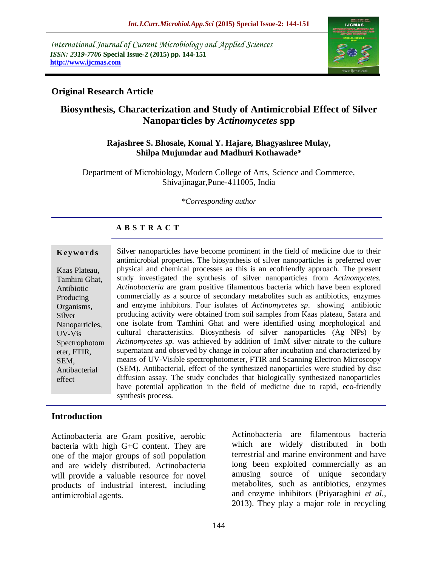*International Journal of Current Microbiology and Applied Sciences ISSN: 2319-7706* **Special Issue-2 (2015) pp. 144-151 http://www.ijcmas.com** 



### **Original Research Article**

# **Biosynthesis, Characterization and Study of Antimicrobial Effect of Silver Nanoparticles by** *Actinomycetes* **spp**

#### **Rajashree S. Bhosale, Komal Y. Hajare, Bhagyashree Mulay, Shilpa Mujumdar and Madhuri Kothawade\***

Department of Microbiology, Modern College of Arts, Science and Commerce, Shivajinagar,Pune-411005, India

#### *\*Corresponding author*

#### **A B S T R A C T**

#### **K ey w o rd s**

Kaas Plateau, Tamhini Ghat, Antibiotic Producing Organisms, Silver Nanoparticles, UV-Vis Spectrophotom eter, FTIR, SEM, Antibacterial effect

Silver nanoparticles have become prominent in the field of medicine due to their antimicrobial properties. The biosynthesis of silver nanoparticles is preferred over physical and chemical processes as this is an ecofriendly approach. The present study investigated the synthesis of silver nanoparticles from *Actinomycetes. Actinobacteria* are gram positive filamentous bacteria which have been explored commercially as a source of secondary metabolites such as antibiotics, enzymes and enzyme inhibitors. Four isolates of *Actinomycetes sp*. showing antibiotic producing activity were obtained from soil samples from Kaas plateau, Satara and one isolate from Tamhini Ghat and were identified using morphological and cultural characteristics. Biosynthesis of silver nanoparticles (Ag NPs) by *Actinomycetes sp.* was achieved by addition of 1mM silver nitrate to the culture supernatant and observed by change in colour after incubation and characterized by means of UV-Visible spectrophotometer, FTIR and Scanning Electron Microscopy (SEM). Antibacterial, effect of the synthesized nanoparticles were studied by disc diffusion assay. The study concludes that biologically synthesized nanoparticles have potential application in the field of medicine due to rapid, eco-friendly synthesis process.

#### **Introduction**

Actinobacteria are Gram positive, aerobic bacteria with high G+C content. They are one of the major groups of soil population and are widely distributed. Actinobacteria will provide a valuable resource for novel products of industrial interest, including antimicrobial agents.

Actinobacteria are filamentous bacteria which are widely distributed in both terrestrial and marine environment and have long been exploited commercially as an amusing source of unique secondary metabolites, such as antibiotics, enzymes and enzyme inhibitors (Priyaraghini *et al.,* 2013). They play a major role in recycling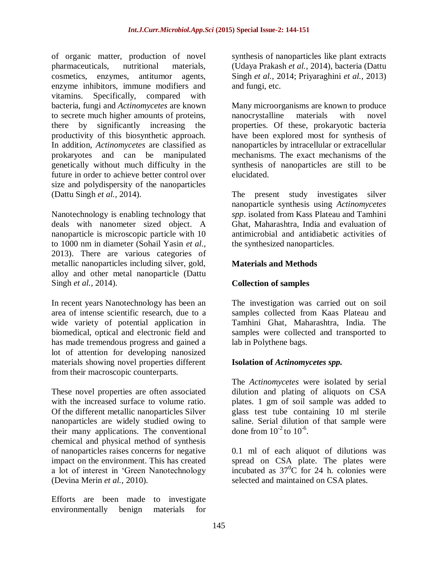of organic matter, production of novel pharmaceuticals, nutritional materials, cosmetics, enzymes, antitumor agents, enzyme inhibitors, immune modifiers and vitamins. Specifically, compared with bacteria, fungi and *Actinomycetes* are known to secrete much higher amounts of proteins, there by significantly increasing the productivity of this biosynthetic approach. In addition, *Actinomycetes* are classified as prokaryotes and can be manipulated genetically without much difficulty in the future in order to achieve better control over size and polydispersity of the nanoparticles (Dattu Singh *et al.,* 2014).

Nanotechnology is enabling technology that deals with nanometer sized object. A nanoparticle is microscopic particle with 10 to 1000 nm in diameter (Sohail Yasin *et al.,* 2013). There are various categories of metallic nanoparticles including silver, gold, alloy and other metal nanoparticle (Dattu Singh *et al.,* 2014).

In recent years Nanotechnology has been an area of intense scientific research, due to a wide variety of potential application in biomedical, optical and electronic field and has made tremendous progress and gained a lot of attention for developing nanosized materials showing novel properties different from their macroscopic counterparts.

These novel properties are often associated with the increased surface to volume ratio. Of the different metallic nanoparticles Silver nanoparticles are widely studied owing to their many applications. The conventional chemical and physical method of synthesis of nanoparticles raises concerns for negative impact on the environment. This has created a lot of interest in 'Green Nanotechnology (Devina Merin *et al.,* 2010).

Efforts are been made to investigate environmentally benign materials for

synthesis of nanoparticles like plant extracts (Udaya Prakash *et al.,* 2014), bacteria (Dattu Singh *et al.,* 2014; Priyaraghini *et al.,* 2013) and fungi, etc.

Many microorganisms are known to produce nanocrystalline materials with novel properties. Of these, prokaryotic bacteria have been explored most for synthesis of nanoparticles by intracellular or extracellular mechanisms. The exact mechanisms of the synthesis of nanoparticles are still to be elucidated.

The present study investigates silver nanoparticle synthesis using *Actinomycetes spp*. isolated from Kass Plateau and Tamhini Ghat, Maharashtra, India and evaluation of antimicrobial and antidiabetic activities of the synthesized nanoparticles.

### **Materials and Methods**

## **Collection of samples**

The investigation was carried out on soil samples collected from Kaas Plateau and Tamhini Ghat, Maharashtra, India. The samples were collected and transported to lab in Polythene bags.

### **Isolation of** *Actinomycetes spp.*

The *Actinomycetes* were isolated by serial dilution and plating of aliquots on CSA plates. 1 gm of soil sample was added to glass test tube containing 10 ml sterile saline. Serial dilution of that sample were done from  $10^{-2}$  to  $10^{-6}$ .

0.1 ml of each aliquot of dilutions was spread on CSA plate. The plates were incubated as  $37^{\circ}$ C for 24 h. colonies were selected and maintained on CSA plates.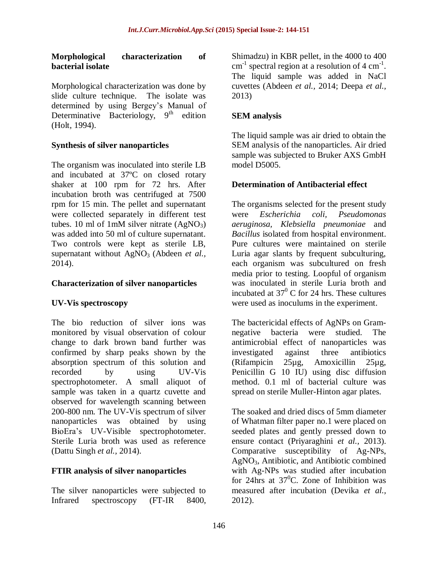#### **Morphological characterization of bacterial isolate**

Morphological characterization was done by slide culture technique. The isolate was determined by using Bergey's Manual of Determinative Bacteriology,  $9<sup>th</sup>$  edition (Holt, 1994).

### **Synthesis of silver nanoparticles**

The organism was inoculated into sterile LB and incubated at 37ºC on closed rotary shaker at 100 rpm for 72 hrs. After incubation broth was centrifuged at 7500 rpm for 15 min. The pellet and supernatant were collected separately in different test tubes. 10 ml of 1mM silver nitrate  $(AgNO<sub>3</sub>)$ was added into 50 ml of culture supernatant. Two controls were kept as sterile LB, supernatant without AgNO<sub>3</sub> (Abdeen *et al.*, 2014).

#### **Characterization of silver nanoparticles**

#### **UV-Vis spectroscopy**

The bio reduction of silver ions was monitored by visual observation of colour change to dark brown band further was confirmed by sharp peaks shown by the absorption spectrum of this solution and recorded by using UV-Vis spectrophotometer. A small aliquot of sample was taken in a quartz cuvette and observed for wavelength scanning between 200-800 nm. The UV-Vis spectrum of silver nanoparticles was obtained by using BioEra's UV-Visible spectrophotometer. Sterile Luria broth was used as reference (Dattu Singh *et al.,* 2014).

#### **FTIR analysis of silver nanoparticles**

The silver nanoparticles were subjected to Infrared spectroscopy (FT-IR 8400, Shimadzu) in KBR pellet, in the 4000 to 400  $cm^{-1}$  spectral region at a resolution of 4  $cm^{-1}$ . The liquid sample was added in NaCl cuvettes (Abdeen *et al.,* 2014; Deepa *et al.,* 2013)

### **SEM analysis**

The liquid sample was air dried to obtain the SEM analysis of the nanoparticles. Air dried sample was subjected to Bruker AXS GmbH model D5005.

#### **Determination of Antibacterial effect**

The organisms selected for the present study were *Escherichia coli, Pseudomonas aeruginosa, Klebsiella pneumoniae* and *Bacillus* isolated from hospital environment. Pure cultures were maintained on sterile Luria agar slants by frequent subculturing, each organism was subcultured on fresh media prior to testing. Loopful of organism was inoculated in sterile Luria broth and incubated at  $37^0$  C for 24 hrs. These cultures were used as inoculums in the experiment.

The bactericidal effects of AgNPs on Gramnegative bacteria were studied. The antimicrobial effect of nanoparticles was investigated against three antibiotics (Rifampicin 25µg, Amoxicillin 25µg, Penicillin G 10 IU) using disc diffusion method. 0.1 ml of bacterial culture was spread on sterile Muller-Hinton agar plates.

The soaked and dried discs of 5mm diameter of Whatman filter paper no.1 were placed on seeded plates and gently pressed down to ensure contact (Priyaraghini *et al.,* 2013). Comparative susceptibility of Ag-NPs, AgNO3, Antibiotic, and Antibiotic combined with Ag-NPs was studied after incubation for 24hrs at  $37^{\circ}$ C. Zone of Inhibition was measured after incubation (Devika *et al.,* 2012).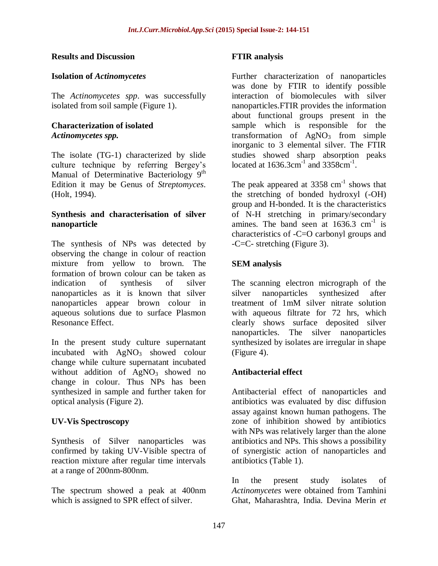#### **Results and Discussion**

#### **Isolation of** *Actinomycetes*

The *Actinomycetes spp*. was successfully isolated from soil sample (Figure 1).

#### **Characterization of isolated**  *Actinomycetes spp.*

The isolate (TG-1) characterized by slide culture technique by referring Bergey's Manual of Determinative Bacteriology  $9<sup>th</sup>$ Edition it may be Genus of *Streptomyces*. (Holt, 1994).

#### **Synthesis and characterisation of silver nanoparticle**

The synthesis of NPs was detected by observing the change in colour of reaction mixture from yellow to brown. The formation of brown colour can be taken as indication of synthesis of silver nanoparticles as it is known that silver nanoparticles appear brown colour in aqueous solutions due to surface Plasmon Resonance Effect.

In the present study culture supernatant incubated with  $AgNO<sub>3</sub>$  showed colour change while culture supernatant incubated without addition of  $AgNO<sub>3</sub>$  showed no change in colour. Thus NPs has been synthesized in sample and further taken for optical analysis (Figure 2).

#### **UV-Vis Spectroscopy**

Synthesis of Silver nanoparticles was confirmed by taking UV-Visible spectra of reaction mixture after regular time intervals at a range of 200nm-800nm.

The spectrum showed a peak at 400nm which is assigned to SPR effect of silver.

### **FTIR analysis**

Further characterization of nanoparticles was done by FTIR to identify possible interaction of biomolecules with silver nanoparticles.FTIR provides the information about functional groups present in the sample which is responsible for the transformation of  $AgNO<sub>3</sub>$  from simple inorganic to 3 elemental silver. The FTIR studies showed sharp absorption peaks located at  $1636.3 \text{cm}^{-1}$  and  $3358 \text{cm}^{-1}$ .

The peak appeared at  $3358 \text{ cm}^{-1}$  shows that the stretching of bonded hydroxyl (-OH) group and H-bonded. It is the characteristics of N-H stretching in primary/secondary amines. The band seen at  $1636.3 \text{ cm}^{-1}$  is characteristics of -C=O carbonyl groups and -C=C- stretching (Figure 3).

### **SEM analysis**

The scanning electron micrograph of the silver nanoparticles synthesized after treatment of 1mM silver nitrate solution with aqueous filtrate for 72 hrs, which clearly shows surface deposited silver nanoparticles. The silver nanoparticles synthesized by isolates are irregular in shape (Figure 4).

#### **Antibacterial effect**

Antibacterial effect of nanoparticles and antibiotics was evaluated by disc diffusion assay against known human pathogens. The zone of inhibition showed by antibiotics with NPs was relatively larger than the alone antibiotics and NPs. This shows a possibility of synergistic action of nanoparticles and antibiotics (Table 1).

In the present study isolates of *Actinomycetes* were obtained from Tamhini Ghat, Maharashtra, India. Devina Merin *et*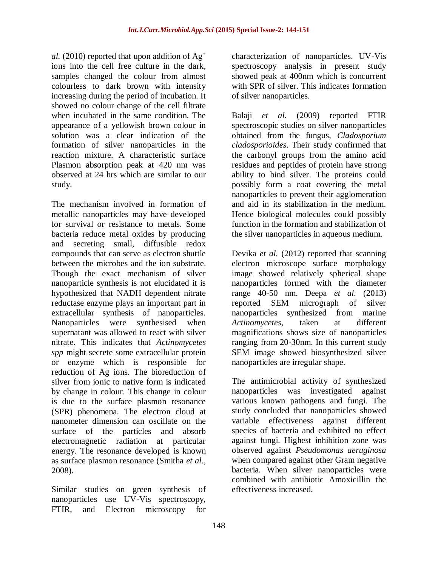*al.* (2010) reported that upon addition of  $Ag^+$ ions into the cell free culture in the dark, samples changed the colour from almost colourless to dark brown with intensity increasing during the period of incubation. It showed no colour change of the cell filtrate when incubated in the same condition. The appearance of a yellowish brown colour in solution was a clear indication of the formation of silver nanoparticles in the reaction mixture. A characteristic surface Plasmon absorption peak at 420 nm was observed at 24 hrs which are similar to our study.

The mechanism involved in formation of metallic nanoparticles may have developed for survival or resistance to metals. Some bacteria reduce metal oxides by producing and secreting small, diffusible redox compounds that can serve as electron shuttle between the microbes and the ion substrate. Though the exact mechanism of silver nanoparticle synthesis is not elucidated it is hypothesized that NADH dependent nitrate reductase enzyme plays an important part in extracellular synthesis of nanoparticles. Nanoparticles were synthesised when supernatant was allowed to react with silver nitrate. This indicates that *Actinomycetes spp* might secrete some extracellular protein or enzyme which is responsible for reduction of Ag ions. The bioreduction of silver from ionic to native form is indicated by change in colour. This change in colour is due to the surface plasmon resonance (SPR) phenomena. The electron cloud at nanometer dimension can oscillate on the surface of the particles and absorb electromagnetic radiation at particular energy. The resonance developed is known as surface plasmon resonance (Smitha *et al.,* 2008).

Similar studies on green synthesis of nanoparticles use UV-Vis spectroscopy, FTIR, and Electron microscopy for characterization of nanoparticles. UV-Vis spectroscopy analysis in present study showed peak at 400nm which is concurrent with SPR of silver. This indicates formation of silver nanoparticles.

Balaji *et al.* (2009) reported FTIR spectroscopic studies on silver nanoparticles obtained from the fungus, *Cladosporium cladosporioides*. Their study confirmed that the carbonyl groups from the amino acid residues and peptides of protein have strong ability to bind silver. The proteins could possibly form a coat covering the metal nanoparticles to prevent their agglomeration and aid in its stabilization in the medium. Hence biological molecules could possibly function in the formation and stabilization of the silver nanoparticles in aqueous medium.

Devika *et al.* (2012) reported that scanning electron microscope surface morphology image showed relatively spherical shape nanoparticles formed with the diameter range 40-50 nm. Deepa *et al.* (2013) reported SEM micrograph of silver nanoparticles synthesized from marine *Actinomycetes*, taken at different magnifications shows size of nanoparticles ranging from 20-30nm. In this current study SEM image showed biosynthesized silver nanoparticles are irregular shape.

The antimicrobial activity of synthesized nanoparticles was investigated against various known pathogens and fungi. The study concluded that nanoparticles showed variable effectiveness against different species of bacteria and exhibited no effect against fungi. Highest inhibition zone was observed against *Pseudomonas aeruginosa* when compared against other Gram negative bacteria. When silver nanoparticles were combined with antibiotic Amoxicillin the effectiveness increased.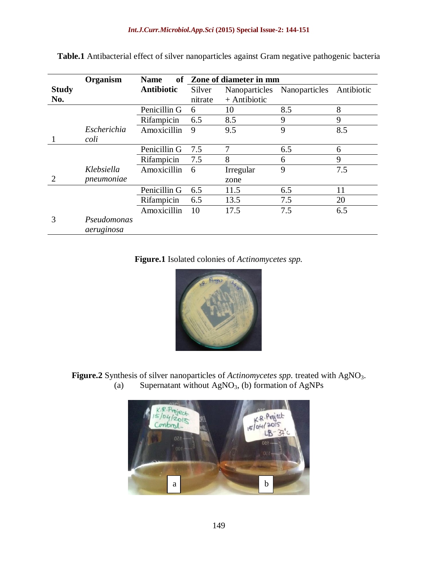|                             | Organism                  | <b>Name</b>       | of Zone of diameter in mm |               |               |            |
|-----------------------------|---------------------------|-------------------|---------------------------|---------------|---------------|------------|
| <b>Study</b>                |                           | <b>Antibiotic</b> | Silver                    | Nanoparticles | Nanoparticles | Antibiotic |
| No.                         |                           |                   | nitrate                   | + Antibiotic  |               |            |
|                             |                           | Penicillin G      | 6                         | 10            | 8.5           | 8          |
|                             |                           | Rifampicin        | 6.5                       | 8.5           | 9             | 9          |
|                             | Escherichia               | Amoxicillin       | 9                         | 9.5           | 9             | 8.5        |
|                             | coli                      |                   |                           |               |               |            |
|                             |                           | Penicillin G      | 7.5                       | 7             | 6.5           | 6          |
|                             |                           | Rifampicin        | 7.5                       | 8             | 6             | 9          |
|                             | Klebsiella                | Amoxicillin       | 6                         | Irregular     | 9             | 7.5        |
| $\mathcal{D}_{\mathcal{L}}$ | pneumoniae                |                   |                           | zone          |               |            |
|                             |                           | Penicillin G      | 6.5                       | 11.5          | 6.5           | 11         |
|                             |                           | Rifampicin        | 6.5                       | 13.5          | 7.5           | 20         |
|                             |                           | Amoxicillin       | 10                        | 17.5          | 7.5           | 6.5        |
| 3                           | Pseudomonas<br>aeruginosa |                   |                           |               |               |            |

**Table.1** Antibacterial effect of silver nanoparticles against Gram negative pathogenic bacteria

**Figure.1** Isolated colonies of *Actinomycetes spp.*



**Figure.2** Synthesis of silver nanoparticles of *Actinomycetes spp.* treated with AgNO3. (a) Supernatant without  $AgNO<sub>3</sub>$ , (b) formation of AgNPs

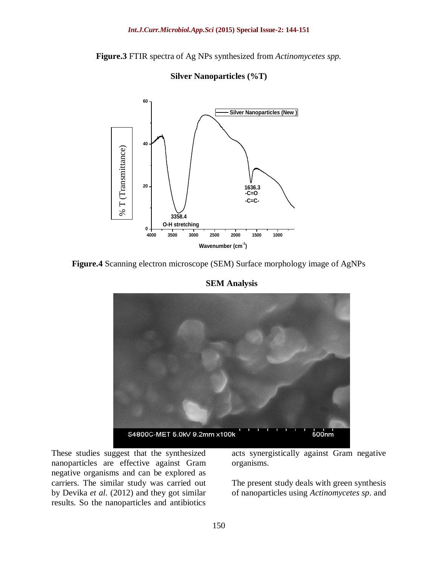**Figure.3** FTIR spectra of Ag NPs synthesized from *Actinomycetes spp.*



**Silver Nanoparticles (%T)**





**SEM Analysis**

These studies suggest that the synthesized nanoparticles are effective against Gram negative organisms and can be explored as carriers. The similar study was carried out by Devika *et al.* (2012) and they got similar results. So the nanoparticles and antibiotics

acts synergistically against Gram negative organisms.

The present study deals with green synthesis of nanoparticles using *Actinomycetes sp*. and